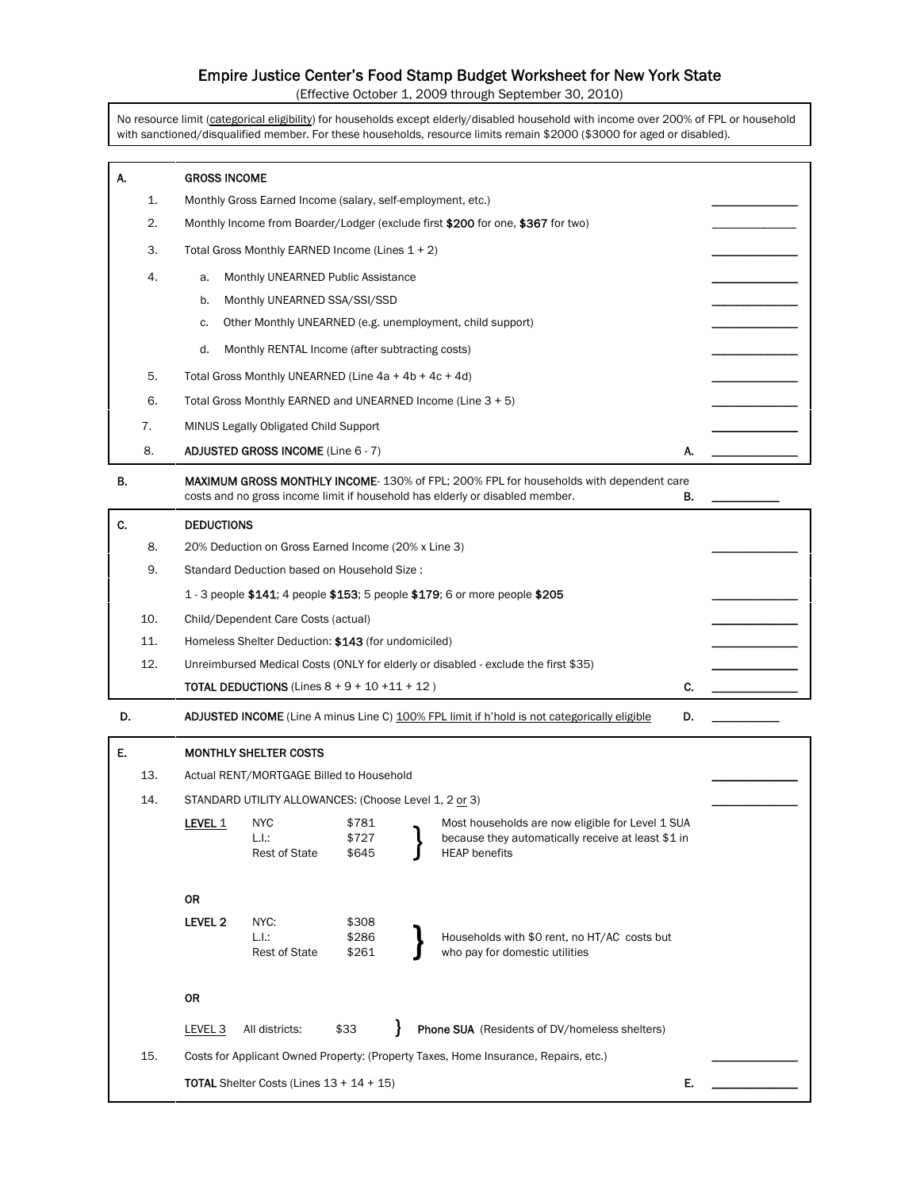# Empire Justice Center's Food Stamp Budget Worksheet for New York State

(Effective October 1, 2009 through September 30, 2010)

No resource limit (categorical eligibility) for households except elderly/disabled household with income over 200% of FPL or household with sanctioned/disqualified member. For these households, resource limits remain \$2000 (\$3000 for aged or disabled).

| А.  | <b>GROSS INCOME</b>                                                                                                               |    |  |  |  |  |  |  |
|-----|-----------------------------------------------------------------------------------------------------------------------------------|----|--|--|--|--|--|--|
| 1.  | Monthly Gross Earned Income (salary, self-employment, etc.)                                                                       |    |  |  |  |  |  |  |
| 2.  | Monthly Income from Boarder/Lodger (exclude first \$200 for one, \$367 for two)                                                   |    |  |  |  |  |  |  |
| 3.  | Total Gross Monthly EARNED Income (Lines 1 + 2)                                                                                   |    |  |  |  |  |  |  |
| 4.  | Monthly UNEARNED Public Assistance<br>a.                                                                                          |    |  |  |  |  |  |  |
|     | Monthly UNEARNED SSA/SSI/SSD<br>b.                                                                                                |    |  |  |  |  |  |  |
|     | Other Monthly UNEARNED (e.g. unemployment, child support)<br>c.                                                                   |    |  |  |  |  |  |  |
|     | d.<br>Monthly RENTAL Income (after subtracting costs)                                                                             |    |  |  |  |  |  |  |
| 5.  | Total Gross Monthly UNEARNED (Line $4a + 4b + 4c + 4d$ )                                                                          |    |  |  |  |  |  |  |
| 6.  | Total Gross Monthly EARNED and UNEARNED Income (Line 3 + 5)                                                                       |    |  |  |  |  |  |  |
| 7.  | MINUS Legally Obligated Child Support                                                                                             |    |  |  |  |  |  |  |
| 8.  | <b>ADJUSTED GROSS INCOME (Line 6 - 7)</b>                                                                                         | А. |  |  |  |  |  |  |
| В.  | MAXIMUM GROSS MONTHLY INCOME-130% of FPL; 200% FPL for households with dependent care                                             |    |  |  |  |  |  |  |
|     | costs and no gross income limit if household has elderly or disabled member.                                                      | В. |  |  |  |  |  |  |
| C.  | <b>DEDUCTIONS</b>                                                                                                                 |    |  |  |  |  |  |  |
| 8.  | 20% Deduction on Gross Earned Income (20% x Line 3)                                                                               |    |  |  |  |  |  |  |
| 9.  | Standard Deduction based on Household Size:                                                                                       |    |  |  |  |  |  |  |
|     | 1 - 3 people \$141; 4 people \$153; 5 people \$179; 6 or more people \$205                                                        |    |  |  |  |  |  |  |
| 10. | Child/Dependent Care Costs (actual)                                                                                               |    |  |  |  |  |  |  |
| 11. | Homeless Shelter Deduction: \$143 (for undomiciled)                                                                               |    |  |  |  |  |  |  |
| 12. | Unreimbursed Medical Costs (ONLY for elderly or disabled - exclude the first \$35)                                                |    |  |  |  |  |  |  |
|     | <b>TOTAL DEDUCTIONS</b> (Lines $8 + 9 + 10 + 11 + 12$ )                                                                           | C. |  |  |  |  |  |  |
| D.  | <b>ADJUSTED INCOME</b> (Line A minus Line C) 100% FPL limit if h'hold is not categorically eligible                               | D. |  |  |  |  |  |  |
| E.  | <b>MONTHLY SHELTER COSTS</b>                                                                                                      |    |  |  |  |  |  |  |
| 13. | Actual RENT/MORTGAGE Billed to Household                                                                                          |    |  |  |  |  |  |  |
| 14. | STANDARD UTILITY ALLOWANCES: (Choose Level 1, 2 or 3)                                                                             |    |  |  |  |  |  |  |
|     | LEVEL 1<br>\$781<br><b>NYC</b><br>Most households are now eligible for Level 1 SUA                                                |    |  |  |  |  |  |  |
|     | L.I.:<br>\$727<br>because they automatically receive at least \$1 in<br>\$645<br><b>HEAP</b> benefits<br><b>Rest of State</b>     |    |  |  |  |  |  |  |
|     |                                                                                                                                   |    |  |  |  |  |  |  |
|     | <b>OR</b>                                                                                                                         |    |  |  |  |  |  |  |
|     | LEVEL <sub>2</sub><br>NYC:<br>\$308                                                                                               |    |  |  |  |  |  |  |
|     | L.I.:<br>\$286<br>Households with \$0 rent, no HT/AC costs but<br><b>Rest of State</b><br>who pay for domestic utilities<br>\$261 |    |  |  |  |  |  |  |
|     |                                                                                                                                   |    |  |  |  |  |  |  |
|     | OR                                                                                                                                |    |  |  |  |  |  |  |
|     | \$33<br><b>Phone SUA</b> (Residents of DV/homeless shelters)<br>LEVEL <sub>3</sub><br>All districts:                              |    |  |  |  |  |  |  |
| 15. | Costs for Applicant Owned Property: (Property Taxes, Home Insurance, Repairs, etc.)                                               |    |  |  |  |  |  |  |
|     | <b>TOTAL</b> Shelter Costs (Lines $13 + 14 + 15$ )                                                                                | Е. |  |  |  |  |  |  |
|     |                                                                                                                                   |    |  |  |  |  |  |  |